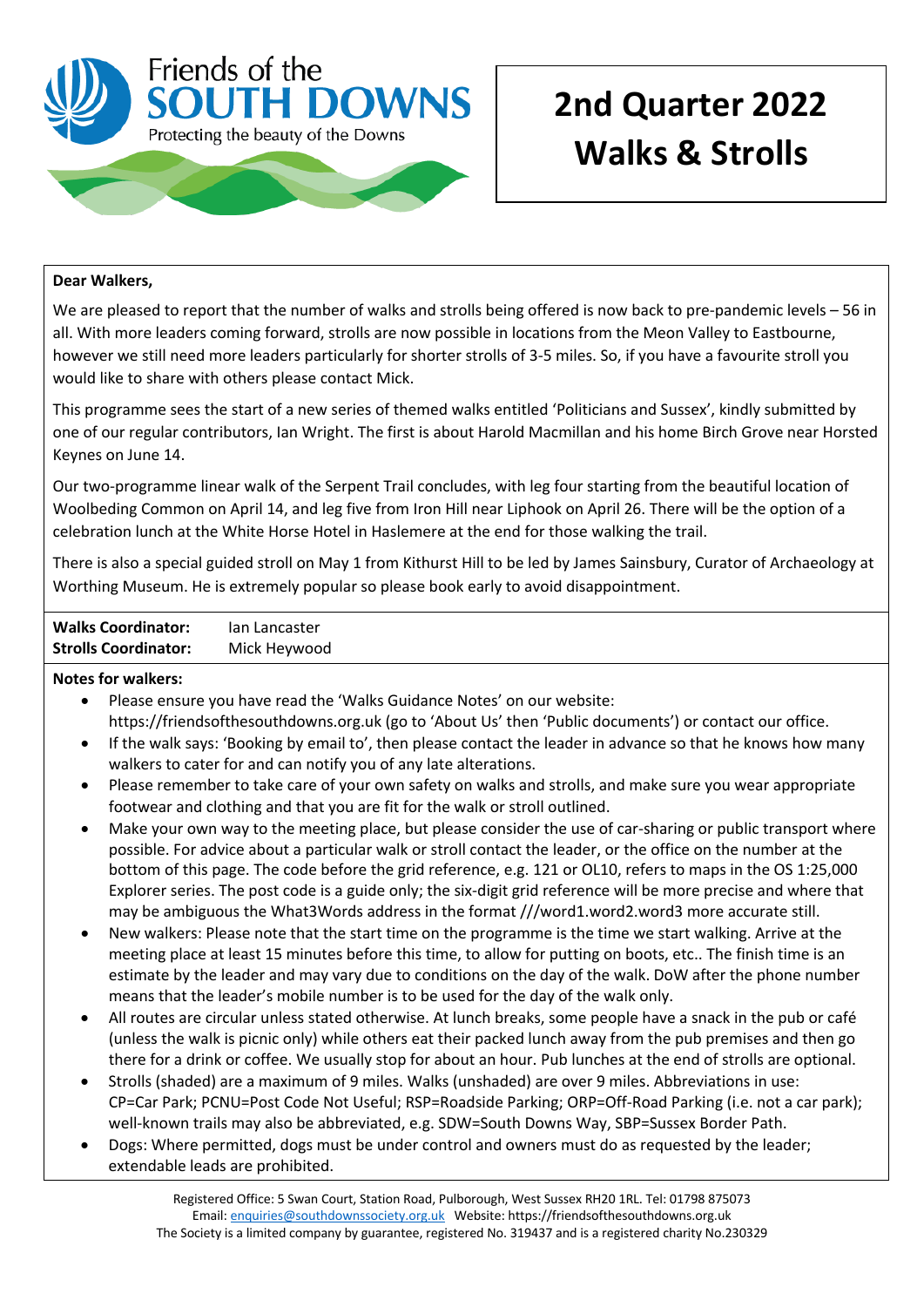

# **2nd Quarter 2022 Walks & Strolls**

### **Dear Walkers,**

We are pleased to report that the number of walks and strolls being offered is now back to pre-pandemic levels – 56 in all. With more leaders coming forward, strolls are now possible in locations from the Meon Valley to Eastbourne, however we still need more leaders particularly for shorter strolls of 3-5 miles. So, if you have a favourite stroll you would like to share with others please contact Mick.

This programme sees the start of a new series of themed walks entitled 'Politicians and Sussex', kindly submitted by one of our regular contributors, Ian Wright. The first is about Harold Macmillan and his home Birch Grove near Horsted Keynes on June 14.

Our two-programme linear walk of the Serpent Trail concludes, with leg four starting from the beautiful location of Woolbeding Common on April 14, and leg five from Iron Hill near Liphook on April 26. There will be the option of a celebration lunch at the White Horse Hotel in Haslemere at the end for those walking the trail.

There is also a special guided stroll on May 1 from Kithurst Hill to be led by James Sainsbury, Curator of Archaeology at Worthing Museum. He is extremely popular so please book early to avoid disappointment.

| <b>Walks Coordinator:</b>   | lan Lancaster |
|-----------------------------|---------------|
| <b>Strolls Coordinator:</b> | Mick Heywood  |

#### **Notes for walkers:**

- Please ensure you have read the 'Walks Guidance Notes' on our website: https://friendsofthesouthdowns.org.uk (go to 'About Us' then 'Public documents') or contact our office.
- If the walk says: 'Booking by email to', then please contact the leader in advance so that he knows how many walkers to cater for and can notify you of any late alterations.
- Please remember to take care of your own safety on walks and strolls, and make sure you wear appropriate footwear and clothing and that you are fit for the walk or stroll outlined.
- Make your own way to the meeting place, but please consider the use of car-sharing or public transport where possible. For advice about a particular walk or stroll contact the leader, or the office on the number at the bottom of this page. The code before the grid reference, e.g. 121 or OL10, refers to maps in the OS 1:25,000 Explorer series. The post code is a guide only; the six-digit grid reference will be more precise and where that may be ambiguous the What3Words address in the format ///word1.word2.word3 more accurate still.
- New walkers: Please note that the start time on the programme is the time we start walking. Arrive at the meeting place at least 15 minutes before this time, to allow for putting on boots, etc.. The finish time is an estimate by the leader and may vary due to conditions on the day of the walk. DoW after the phone number means that the leader's mobile number is to be used for the day of the walk only.
- All routes are circular unless stated otherwise. At lunch breaks, some people have a snack in the pub or café (unless the walk is picnic only) while others eat their packed lunch away from the pub premises and then go there for a drink or coffee. We usually stop for about an hour. Pub lunches at the end of strolls are optional.
- Strolls (shaded) are a maximum of 9 miles. Walks (unshaded) are over 9 miles. Abbreviations in use: CP=Car Park; PCNU=Post Code Not Useful; RSP=Roadside Parking; ORP=Off-Road Parking (i.e. not a car park); well-known trails may also be abbreviated, e.g. SDW=South Downs Way, SBP=Sussex Border Path.
- Dogs: Where permitted, dogs must be under control and owners must do as requested by the leader; extendable leads are prohibited.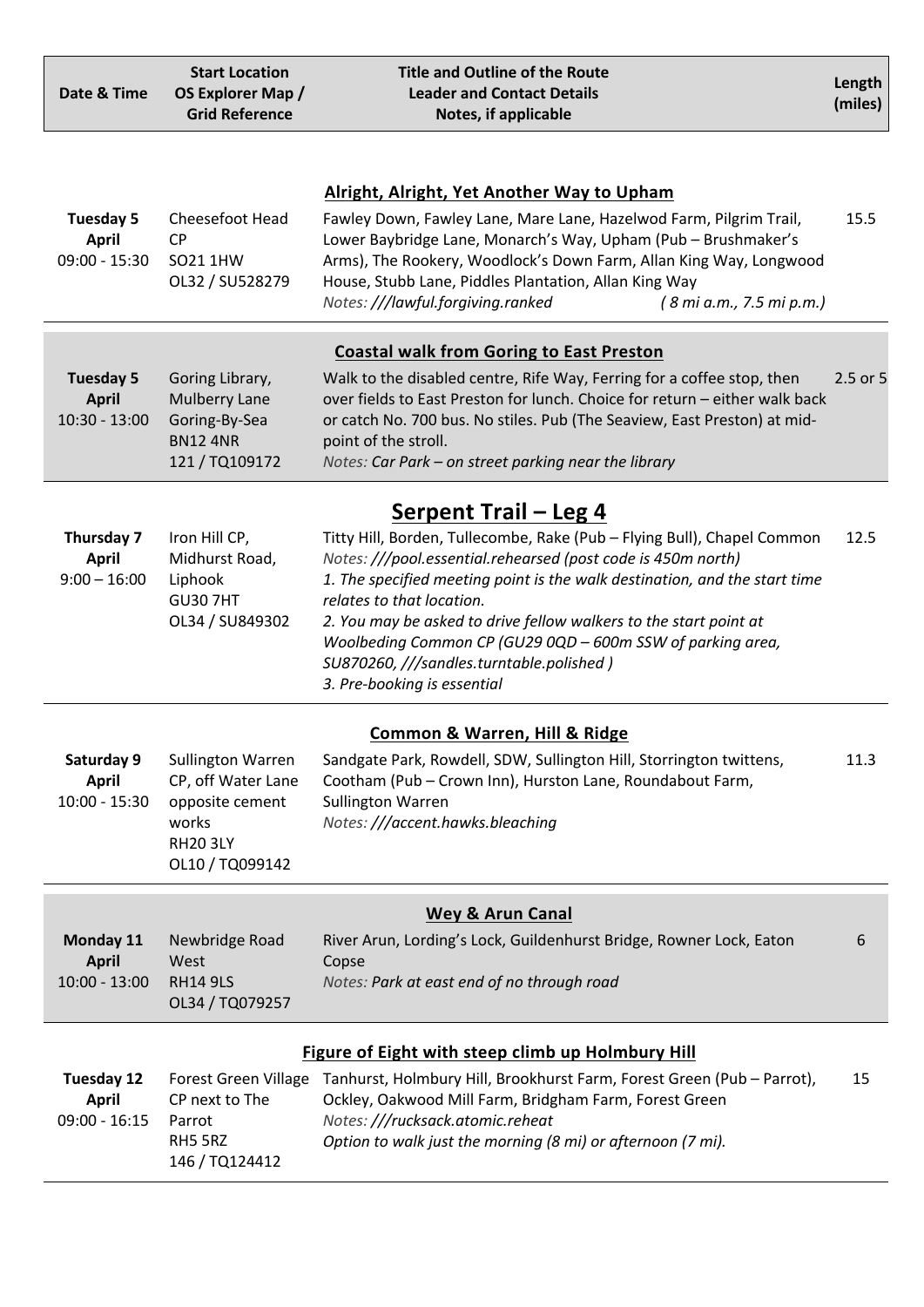| Date & Time                                         | <b>Start Location</b><br>OS Explorer Map /<br><b>Grid Reference</b>                                              | <b>Title and Outline of the Route</b><br><b>Leader and Contact Details</b><br>Notes, if applicable                                                                                                                                                                                                                                                                                                                                                               | Length<br>(miles) |
|-----------------------------------------------------|------------------------------------------------------------------------------------------------------------------|------------------------------------------------------------------------------------------------------------------------------------------------------------------------------------------------------------------------------------------------------------------------------------------------------------------------------------------------------------------------------------------------------------------------------------------------------------------|-------------------|
| Tuesday 5<br><b>April</b><br>$09:00 - 15:30$        | Cheesefoot Head<br><b>CP</b><br>SO21 1HW<br>OL32 / SU528279                                                      | <b>Alright, Alright, Yet Another Way to Upham</b><br>Fawley Down, Fawley Lane, Mare Lane, Hazelwod Farm, Pilgrim Trail,<br>Lower Baybridge Lane, Monarch's Way, Upham (Pub - Brushmaker's<br>Arms), The Rookery, Woodlock's Down Farm, Allan King Way, Longwood<br>House, Stubb Lane, Piddles Plantation, Allan King Way<br>Notes: ///lawful.forgiving.ranked<br>(8 mi a.m., 7.5 mi p.m.)                                                                        | 15.5              |
|                                                     |                                                                                                                  | <b>Coastal walk from Goring to East Preston</b>                                                                                                                                                                                                                                                                                                                                                                                                                  |                   |
| <b>Tuesday 5</b><br><b>April</b><br>$10:30 - 13:00$ | Goring Library,<br><b>Mulberry Lane</b><br>Goring-By-Sea<br><b>BN124NR</b><br>121/TQ109172                       | Walk to the disabled centre, Rife Way, Ferring for a coffee stop, then<br>over fields to East Preston for lunch. Choice for return - either walk back<br>or catch No. 700 bus. No stiles. Pub (The Seaview, East Preston) at mid-<br>point of the stroll.<br>Notes: Car Park – on street parking near the library                                                                                                                                                | 2.5 or 5          |
|                                                     |                                                                                                                  | <b>Serpent Trail – Leg 4</b>                                                                                                                                                                                                                                                                                                                                                                                                                                     |                   |
| Thursday 7<br><b>April</b><br>$9:00 - 16:00$        | Iron Hill CP,<br>Midhurst Road,<br>Liphook<br><b>GU30 7HT</b><br>OL34 / SU849302                                 | Titty Hill, Borden, Tullecombe, Rake (Pub - Flying Bull), Chapel Common<br>Notes: ///pool.essential.rehearsed (post code is 450m north)<br>1. The specified meeting point is the walk destination, and the start time<br>relates to that location.<br>2. You may be asked to drive fellow walkers to the start point at<br>Woolbeding Common CP (GU29 0QD - 600m SSW of parking area,<br>SU870260, ///sandles.turntable.polished)<br>3. Pre-booking is essential | 12.5              |
| <b>Common &amp; Warren, Hill &amp; Ridge</b>        |                                                                                                                  |                                                                                                                                                                                                                                                                                                                                                                                                                                                                  |                   |
| Saturday 9<br><b>April</b><br>$10:00 - 15:30$       | <b>Sullington Warren</b><br>CP, off Water Lane<br>opposite cement<br>works<br><b>RH20 3LY</b><br>OL10 / TQ099142 | Sandgate Park, Rowdell, SDW, Sullington Hill, Storrington twittens,<br>Cootham (Pub - Crown Inn), Hurston Lane, Roundabout Farm,<br><b>Sullington Warren</b><br>Notes: ///accent.hawks.bleaching                                                                                                                                                                                                                                                                 | 11.3              |
|                                                     |                                                                                                                  | <b>Wey &amp; Arun Canal</b>                                                                                                                                                                                                                                                                                                                                                                                                                                      |                   |
| Monday 11<br><b>April</b><br>$10:00 - 13:00$        | Newbridge Road<br>West<br><b>RH14 9LS</b><br>OL34 / TQ079257                                                     | River Arun, Lording's Lock, Guildenhurst Bridge, Rowner Lock, Eaton<br>Copse<br>Notes: Park at east end of no through road                                                                                                                                                                                                                                                                                                                                       | 6                 |
|                                                     |                                                                                                                  | Figure of Eight with steep climb up Holmbury Hill                                                                                                                                                                                                                                                                                                                                                                                                                |                   |
| Tuesday 12<br><b>April</b><br>$09:00 - 16:15$       | Forest Green Village<br>CP next to The<br>Parrot<br>RH5 5RZ<br>146 / TQ124412                                    | Tanhurst, Holmbury Hill, Brookhurst Farm, Forest Green (Pub - Parrot),<br>Ockley, Oakwood Mill Farm, Bridgham Farm, Forest Green<br>Notes: ///rucksack.atomic.reheat<br>Option to walk just the morning (8 mi) or afternoon (7 mi).                                                                                                                                                                                                                              | 15                |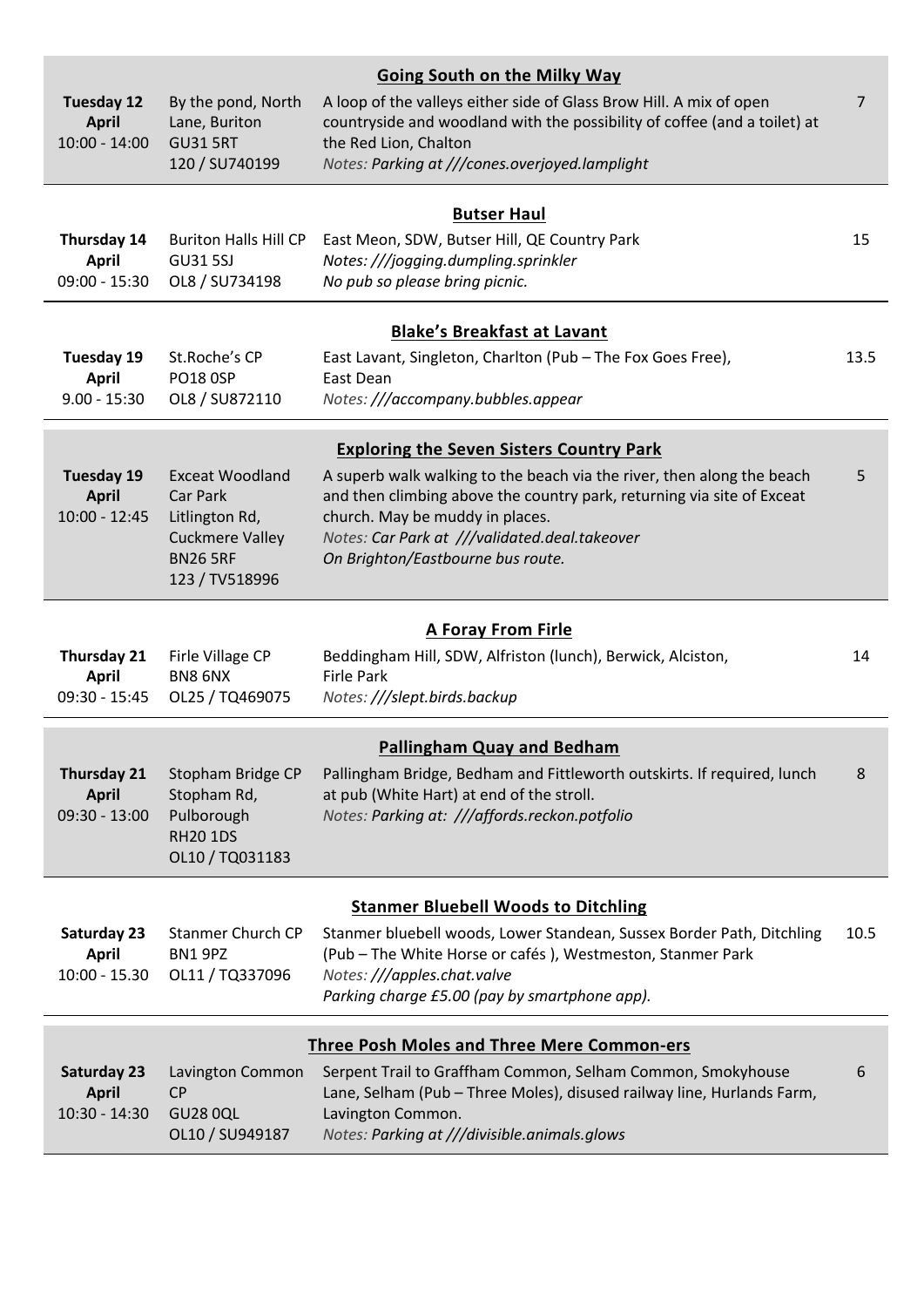|                                                      |                                                        | <b>Going South on the Milky Way</b>                                                                                                                                       |                |
|------------------------------------------------------|--------------------------------------------------------|---------------------------------------------------------------------------------------------------------------------------------------------------------------------------|----------------|
| <b>Tuesday 12</b><br><b>April</b><br>$10:00 - 14:00$ | By the pond, North<br>Lane, Buriton<br><b>GU31 5RT</b> | A loop of the valleys either side of Glass Brow Hill. A mix of open<br>countryside and woodland with the possibility of coffee (and a toilet) at<br>the Red Lion, Chalton | $\overline{7}$ |
|                                                      | 120 / SU740199                                         | Notes: Parking at ///cones.overjoyed.lamplight                                                                                                                            |                |
|                                                      |                                                        | <b>Butser Haul</b>                                                                                                                                                        |                |
| Thursday 14                                          | <b>Buriton Halls Hill CP</b>                           | East Meon, SDW, Butser Hill, QE Country Park                                                                                                                              | 15             |
| <b>April</b><br>$09:00 - 15:30$                      | <b>GU31 5SJ</b><br>OL8 / SU734198                      | Notes: ///jogging.dumpling.sprinkler<br>No pub so please bring picnic.                                                                                                    |                |
|                                                      |                                                        |                                                                                                                                                                           |                |
|                                                      |                                                        | <b>Blake's Breakfast at Lavant</b>                                                                                                                                        |                |
| <b>Tuesday 19</b>                                    | St.Roche's CP                                          | East Lavant, Singleton, Charlton (Pub - The Fox Goes Free),                                                                                                               | 13.5           |
| <b>April</b><br>$9.00 - 15:30$                       | <b>PO18 0SP</b><br>OL8 / SU872110                      | <b>East Dean</b><br>Notes: ///accompany.bubbles.appear                                                                                                                    |                |
|                                                      |                                                        |                                                                                                                                                                           |                |
|                                                      |                                                        | <b>Exploring the Seven Sisters Country Park</b>                                                                                                                           |                |
| <b>Tuesday 19</b><br><b>April</b>                    | <b>Exceat Woodland</b><br>Car Park                     | A superb walk walking to the beach via the river, then along the beach<br>and then climbing above the country park, returning via site of Exceat                          | 5              |
| $10:00 - 12:45$                                      | Litlington Rd,                                         | church. May be muddy in places.                                                                                                                                           |                |
|                                                      | <b>Cuckmere Valley</b>                                 | Notes: Car Park at ///validated.deal.takeover                                                                                                                             |                |
|                                                      | <b>BN26 5RF</b><br>123 / TV518996                      | On Brighton/Eastbourne bus route.                                                                                                                                         |                |
|                                                      |                                                        |                                                                                                                                                                           |                |
|                                                      |                                                        | <b>A Foray From Firle</b>                                                                                                                                                 |                |
| <b>Thursday 21</b><br><b>April</b>                   | Firle Village CP<br>BN8 6NX                            | Beddingham Hill, SDW, Alfriston (lunch), Berwick, Alciston,<br><b>Firle Park</b>                                                                                          | 14             |
| $09:30 - 15:45$                                      | OL25 / TQ469075                                        | Notes: ///slept.birds.backup                                                                                                                                              |                |
|                                                      |                                                        |                                                                                                                                                                           |                |
| <b>Thursday 21</b>                                   | Stopham Bridge CP                                      | <b>Pallingham Quay and Bedham</b><br>Pallingham Bridge, Bedham and Fittleworth outskirts. If required, lunch                                                              | 8              |
| <b>April</b>                                         | Stopham Rd,                                            | at pub (White Hart) at end of the stroll.                                                                                                                                 |                |
| $09:30 - 13:00$                                      | Pulborough                                             | Notes: Parking at: ///affords.reckon.potfolio                                                                                                                             |                |
|                                                      | <b>RH20 1DS</b><br>OL10 / TQ031183                     |                                                                                                                                                                           |                |
|                                                      |                                                        |                                                                                                                                                                           |                |
|                                                      |                                                        | <b>Stanmer Bluebell Woods to Ditchling</b>                                                                                                                                |                |
| Saturday 23<br><b>April</b>                          | Stanmer Church CP<br>BN1 9PZ                           | Stanmer bluebell woods, Lower Standean, Sussex Border Path, Ditchling<br>(Pub - The White Horse or cafés), Westmeston, Stanmer Park                                       | 10.5           |
| $10:00 - 15.30$                                      | OL11 / TQ337096                                        | Notes: ///apples.chat.valve                                                                                                                                               |                |
|                                                      |                                                        | Parking charge £5.00 (pay by smartphone app).                                                                                                                             |                |
|                                                      |                                                        | <b>Three Posh Moles and Three Mere Common-ers</b>                                                                                                                         |                |
| Saturday 23                                          | Lavington Common                                       | Serpent Trail to Graffham Common, Selham Common, Smokyhouse                                                                                                               | 6              |
| <b>April</b>                                         | <b>CP</b>                                              | Lane, Selham (Pub - Three Moles), disused railway line, Hurlands Farm,                                                                                                    |                |
| $10:30 - 14:30$                                      | <b>GU28 0QL</b><br>OL10 / SU949187                     | Lavington Common.<br>Notes: Parking at ///divisible.animals.glows                                                                                                         |                |
|                                                      |                                                        |                                                                                                                                                                           |                |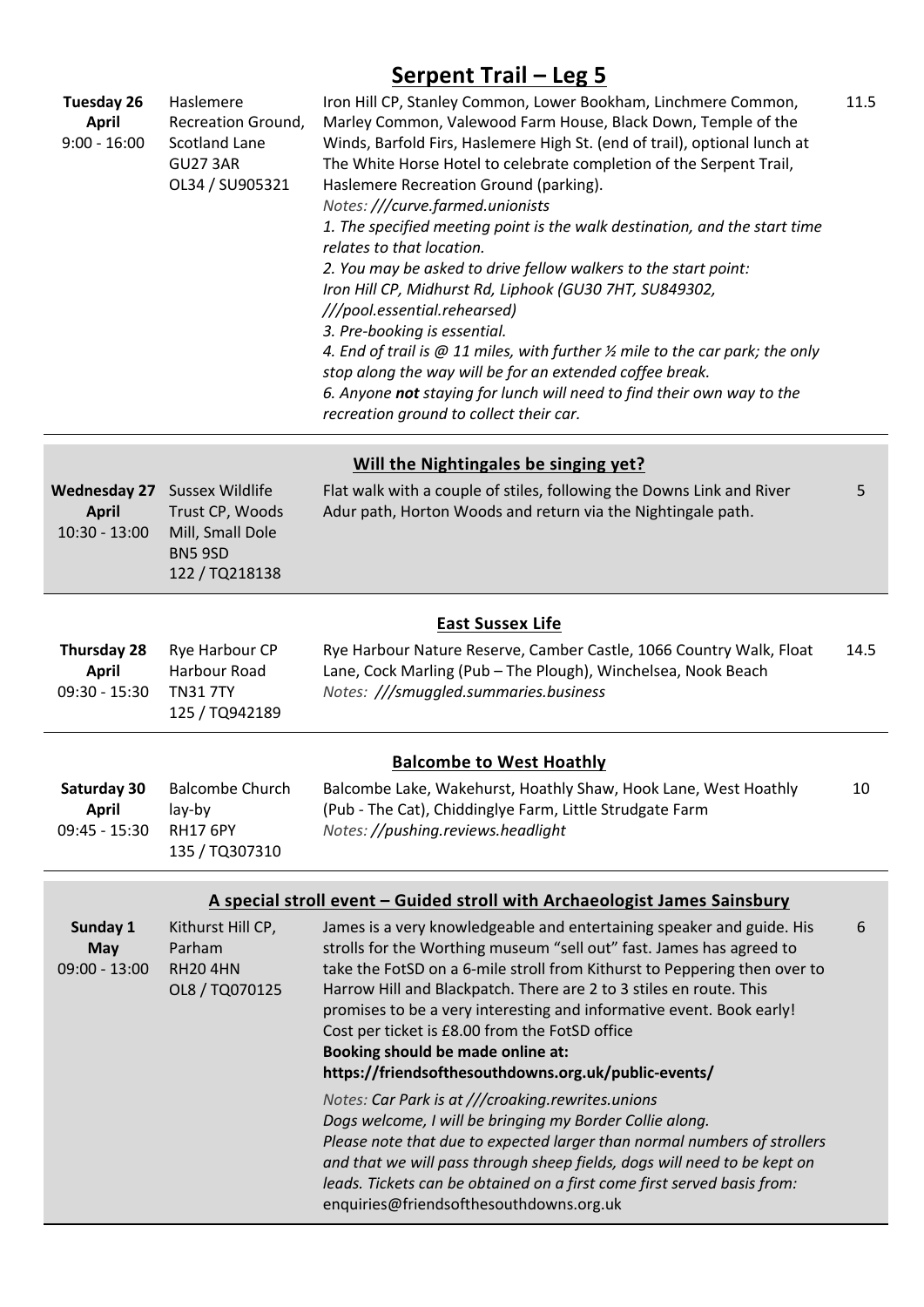# **Serpent Trail – Leg 5**

| <b>Tuesday 26</b><br><b>April</b><br>$9:00 - 16:00$    | Haslemere<br>Recreation Ground,<br><b>Scotland Lane</b><br><b>GU27 3AR</b><br>OL34 / SU905321 | Iron Hill CP, Stanley Common, Lower Bookham, Linchmere Common,<br>Marley Common, Valewood Farm House, Black Down, Temple of the<br>Winds, Barfold Firs, Haslemere High St. (end of trail), optional lunch at<br>The White Horse Hotel to celebrate completion of the Serpent Trail,<br>Haslemere Recreation Ground (parking).<br>Notes: ///curve.farmed.unionists<br>1. The specified meeting point is the walk destination, and the start time<br>relates to that location.<br>2. You may be asked to drive fellow walkers to the start point:<br>Iron Hill CP, Midhurst Rd, Liphook (GU30 7HT, SU849302,<br>///pool.essential.rehearsed)<br>3. Pre-booking is essential.<br>4. End of trail is $@11$ miles, with further $\frac{1}{2}$ mile to the car park; the only<br>stop along the way will be for an extended coffee break.<br>6. Anyone not staying for lunch will need to find their own way to the<br>recreation ground to collect their car. | 11.5 |
|--------------------------------------------------------|-----------------------------------------------------------------------------------------------|----------------------------------------------------------------------------------------------------------------------------------------------------------------------------------------------------------------------------------------------------------------------------------------------------------------------------------------------------------------------------------------------------------------------------------------------------------------------------------------------------------------------------------------------------------------------------------------------------------------------------------------------------------------------------------------------------------------------------------------------------------------------------------------------------------------------------------------------------------------------------------------------------------------------------------------------------------|------|
|                                                        |                                                                                               | Will the Nightingales be singing yet?                                                                                                                                                                                                                                                                                                                                                                                                                                                                                                                                                                                                                                                                                                                                                                                                                                                                                                                    |      |
| <b>Wednesday 27</b><br><b>April</b><br>$10:30 - 13:00$ | <b>Sussex Wildlife</b><br>Trust CP, Woods<br>Mill, Small Dole<br>BN5 9SD<br>122 / TQ218138    | Flat walk with a couple of stiles, following the Downs Link and River<br>Adur path, Horton Woods and return via the Nightingale path.                                                                                                                                                                                                                                                                                                                                                                                                                                                                                                                                                                                                                                                                                                                                                                                                                    | 5    |
|                                                        |                                                                                               | <b>East Sussex Life</b>                                                                                                                                                                                                                                                                                                                                                                                                                                                                                                                                                                                                                                                                                                                                                                                                                                                                                                                                  |      |
| <b>Thursday 28</b><br><b>April</b><br>$09:30 - 15:30$  | Rye Harbour CP<br>Harbour Road<br><b>TN317TY</b><br>125 / TQ942189                            | Rye Harbour Nature Reserve, Camber Castle, 1066 Country Walk, Float<br>Lane, Cock Marling (Pub - The Plough), Winchelsea, Nook Beach<br>Notes: ///smuggled.summaries.business                                                                                                                                                                                                                                                                                                                                                                                                                                                                                                                                                                                                                                                                                                                                                                            | 14.5 |
|                                                        |                                                                                               | <b>Balcombe to West Hoathly</b>                                                                                                                                                                                                                                                                                                                                                                                                                                                                                                                                                                                                                                                                                                                                                                                                                                                                                                                          |      |
| Saturday 30<br><b>April</b><br>$09:45 - 15:30$         | <b>Balcombe Church</b><br>lay-by<br><b>RH17 6PY</b><br>135 / TQ307310                         | Balcombe Lake, Wakehurst, Hoathly Shaw, Hook Lane, West Hoathly<br>(Pub - The Cat), Chiddinglye Farm, Little Strudgate Farm<br>Notes: //pushing.reviews.headlight                                                                                                                                                                                                                                                                                                                                                                                                                                                                                                                                                                                                                                                                                                                                                                                        | 10   |
|                                                        |                                                                                               | A special stroll event - Guided stroll with Archaeologist James Sainsbury                                                                                                                                                                                                                                                                                                                                                                                                                                                                                                                                                                                                                                                                                                                                                                                                                                                                                |      |
| Sunday 1<br><b>May</b><br>$09:00 - 13:00$              | Kithurst Hill CP,<br>Parham<br><b>RH204HN</b><br>OL8 / TQ070125                               | James is a very knowledgeable and entertaining speaker and guide. His<br>strolls for the Worthing museum "sell out" fast. James has agreed to<br>take the FotSD on a 6-mile stroll from Kithurst to Peppering then over to<br>Harrow Hill and Blackpatch. There are 2 to 3 stiles en route. This<br>promises to be a very interesting and informative event. Book early!<br>Cost per ticket is £8.00 from the FotSD office<br>Booking should be made online at:<br>https://friendsofthesouthdowns.org.uk/public-events/<br>Notes: Car Park is at ///croaking.rewrites.unions<br>Dogs welcome, I will be bringing my Border Collie along.<br>Please note that due to expected larger than normal numbers of strollers<br>and that we will pass through sheep fields, dogs will need to be kept on                                                                                                                                                         | 6    |
|                                                        |                                                                                               | leads. Tickets can be obtained on a first come first served basis from:<br>enquiries@friendsofthesouthdowns.org.uk                                                                                                                                                                                                                                                                                                                                                                                                                                                                                                                                                                                                                                                                                                                                                                                                                                       |      |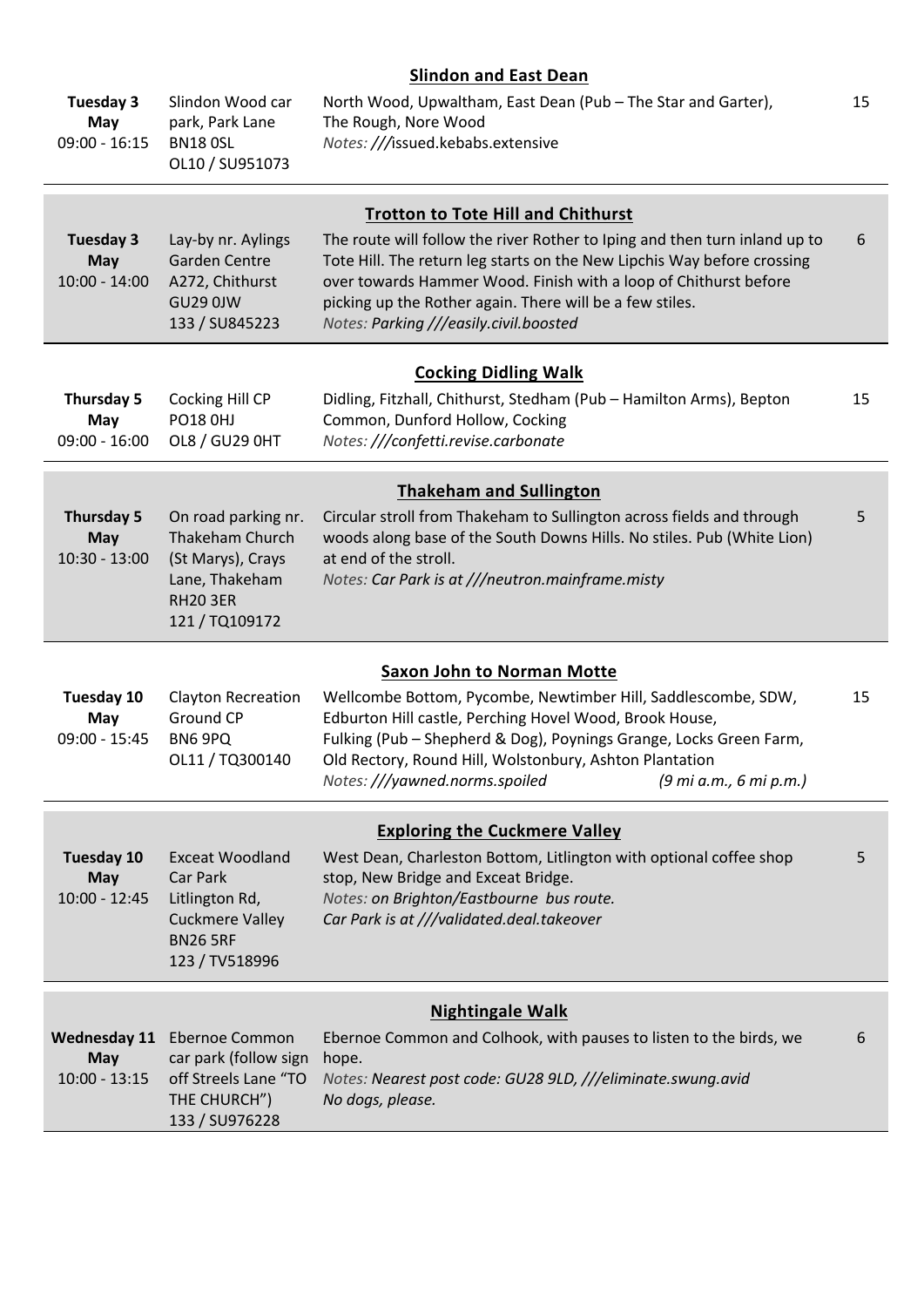# **Slindon and East Dean**

| Tuesday 3<br>May<br>$09:00 - 16:15$                  | Slindon Wood car<br>park, Park Lane<br><b>BN18 OSL</b><br>OL10 / SU951073                                           | North Wood, Upwaltham, East Dean (Pub - The Star and Garter),<br>The Rough, Nore Wood<br>Notes: ///issued.kebabs.extensive                                                                                                                                                                                                                                                   | 15 |
|------------------------------------------------------|---------------------------------------------------------------------------------------------------------------------|------------------------------------------------------------------------------------------------------------------------------------------------------------------------------------------------------------------------------------------------------------------------------------------------------------------------------------------------------------------------------|----|
| Tuesday 3<br>May<br>$10:00 - 14:00$                  | Lay-by nr. Aylings<br><b>Garden Centre</b><br>A272, Chithurst<br><b>GU29 0JW</b><br>133 / SU845223                  | <b>Trotton to Tote Hill and Chithurst</b><br>The route will follow the river Rother to Iping and then turn inland up to<br>Tote Hill. The return leg starts on the New Lipchis Way before crossing<br>over towards Hammer Wood. Finish with a loop of Chithurst before<br>picking up the Rother again. There will be a few stiles.<br>Notes: Parking ///easily.civil.boosted | 6  |
| Thursday 5<br>May<br>$09:00 - 16:00$                 | Cocking Hill CP<br><b>PO18 0HJ</b><br><b>OL8 / GU29 0HT</b>                                                         | <b>Cocking Didling Walk</b><br>Didling, Fitzhall, Chithurst, Stedham (Pub - Hamilton Arms), Bepton<br>Common, Dunford Hollow, Cocking<br>Notes: ///confetti.revise.carbonate                                                                                                                                                                                                 | 15 |
| Thursday 5<br><b>May</b><br>$10:30 - 13:00$          | On road parking nr.<br>Thakeham Church<br>(St Marys), Crays<br>Lane, Thakeham<br><b>RH20 3ER</b><br>121 / TQ109172  | <b>Thakeham and Sullington</b><br>Circular stroll from Thakeham to Sullington across fields and through<br>woods along base of the South Downs Hills. No stiles. Pub (White Lion)<br>at end of the stroll.<br>Notes: Car Park is at ///neutron.mainframe.misty                                                                                                               | 5  |
| Tuesday 10<br>May<br>$09:00 - 15:45$                 | <b>Clayton Recreation</b><br>Ground CP<br>BN6 9PQ<br>OL11 / TQ300140                                                | <b>Saxon John to Norman Motte</b><br>Wellcombe Bottom, Pycombe, Newtimber Hill, Saddlescombe, SDW,<br>Edburton Hill castle, Perching Hovel Wood, Brook House,<br>Fulking (Pub - Shepherd & Dog), Poynings Grange, Locks Green Farm,<br>Old Rectory, Round Hill, Wolstonbury, Ashton Plantation<br>Notes: ///yawned.norms.spoiled<br>(9 mi a.m., 6 mi p.m.)                   | 15 |
| Tuesday 10<br>May<br>$10:00 - 12:45$                 | <b>Exceat Woodland</b><br>Car Park<br>Litlington Rd,<br><b>Cuckmere Valley</b><br><b>BN26 5RF</b><br>123 / TV518996 | <b>Exploring the Cuckmere Valley</b><br>West Dean, Charleston Bottom, Litlington with optional coffee shop<br>stop, New Bridge and Exceat Bridge.<br>Notes: on Brighton/Eastbourne bus route.<br>Car Park is at ///validated.deal.takeover                                                                                                                                   | 5  |
| <b>Wednesday 11</b><br><b>May</b><br>$10:00 - 13:15$ | <b>Ebernoe Common</b><br>car park (follow sign<br>off Streels Lane "TO<br>THE CHURCH")<br>133 / SU976228            | <b>Nightingale Walk</b><br>Ebernoe Common and Colhook, with pauses to listen to the birds, we<br>hope.<br>Notes: Nearest post code: GU28 9LD, ///eliminate.swung.avid<br>No dogs, please.                                                                                                                                                                                    | 6  |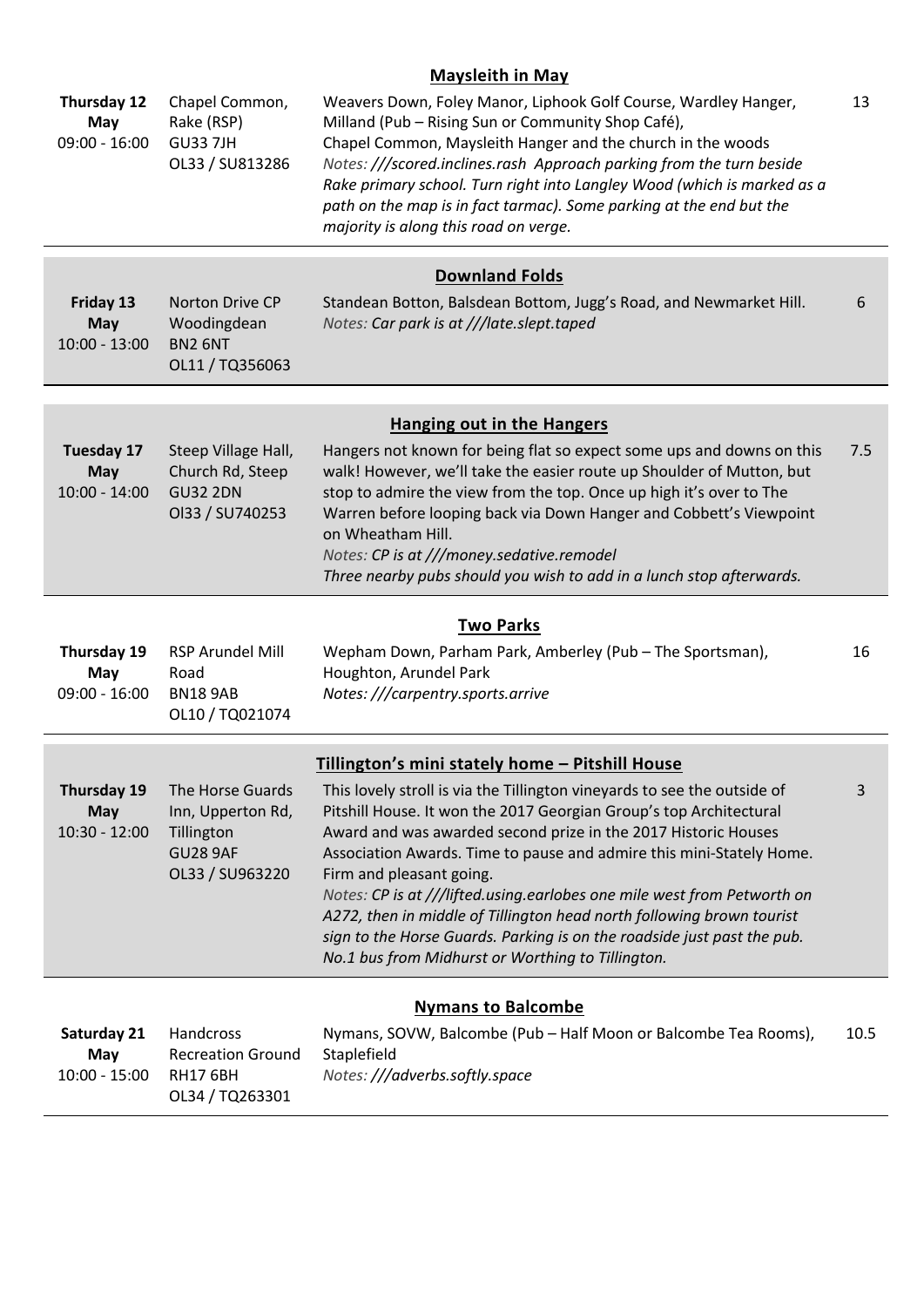### **Maysleith in May**

| Thursday 12<br>May<br>$09:00 - 16:00$              | Chapel Common,<br>Rake (RSP)<br><b>GU33 7JH</b><br>OL33 / SU813286                        | Weavers Down, Foley Manor, Liphook Golf Course, Wardley Hanger,<br>Milland (Pub - Rising Sun or Community Shop Café),<br>Chapel Common, Maysleith Hanger and the church in the woods<br>Notes: ///scored.inclines.rash Approach parking from the turn beside<br>Rake primary school. Turn right into Langley Wood (which is marked as a<br>path on the map is in fact tarmac). Some parking at the end but the<br>majority is along this road on verge.                                                                                                                                                  | 13   |
|----------------------------------------------------|-------------------------------------------------------------------------------------------|----------------------------------------------------------------------------------------------------------------------------------------------------------------------------------------------------------------------------------------------------------------------------------------------------------------------------------------------------------------------------------------------------------------------------------------------------------------------------------------------------------------------------------------------------------------------------------------------------------|------|
|                                                    |                                                                                           | <b>Downland Folds</b>                                                                                                                                                                                                                                                                                                                                                                                                                                                                                                                                                                                    |      |
| Friday 13<br><b>May</b><br>$10:00 - 13:00$         | Norton Drive CP<br>Woodingdean<br>BN2 6NT<br>OL11 / TQ356063                              | Standean Botton, Balsdean Bottom, Jugg's Road, and Newmarket Hill.<br>Notes: Car park is at ///late.slept.taped                                                                                                                                                                                                                                                                                                                                                                                                                                                                                          | 6    |
|                                                    |                                                                                           | <b>Hanging out in the Hangers</b>                                                                                                                                                                                                                                                                                                                                                                                                                                                                                                                                                                        |      |
| <b>Tuesday 17</b><br><b>May</b><br>$10:00 - 14:00$ | Steep Village Hall,<br>Church Rd, Steep<br><b>GU32 2DN</b><br>Ol33 / SU740253             | Hangers not known for being flat so expect some ups and downs on this<br>walk! However, we'll take the easier route up Shoulder of Mutton, but<br>stop to admire the view from the top. Once up high it's over to The<br>Warren before looping back via Down Hanger and Cobbett's Viewpoint<br>on Wheatham Hill.<br>Notes: CP is at ///money.sedative.remodel<br>Three nearby pubs should you wish to add in a lunch stop afterwards.                                                                                                                                                                    | 7.5  |
|                                                    |                                                                                           | <b>Two Parks</b>                                                                                                                                                                                                                                                                                                                                                                                                                                                                                                                                                                                         |      |
| Thursday 19<br>May<br>$09:00 - 16:00$              | RSP Arundel Mill<br>Road<br><b>BN18 9AB</b><br>OL10 / TQ021074                            | Wepham Down, Parham Park, Amberley (Pub - The Sportsman),<br>Houghton, Arundel Park<br>Notes: ///carpentry.sports.arrive                                                                                                                                                                                                                                                                                                                                                                                                                                                                                 | 16   |
|                                                    |                                                                                           | Tillington's mini stately home - Pitshill House                                                                                                                                                                                                                                                                                                                                                                                                                                                                                                                                                          |      |
| Thursday 19<br><b>May</b><br>$10:30 - 12:00$       | The Horse Guards<br>Inn, Upperton Rd,<br>Tillington<br><b>GU28 9AF</b><br>OL33 / SU963220 | This lovely stroll is via the Tillington vineyards to see the outside of<br>Pitshill House. It won the 2017 Georgian Group's top Architectural<br>Award and was awarded second prize in the 2017 Historic Houses<br>Association Awards. Time to pause and admire this mini-Stately Home.<br>Firm and pleasant going.<br>Notes: CP is at ///lifted.using.earlobes one mile west from Petworth on<br>A272, then in middle of Tillington head north following brown tourist<br>sign to the Horse Guards. Parking is on the roadside just past the pub.<br>No.1 bus from Midhurst or Worthing to Tillington. | 3    |
|                                                    |                                                                                           | <b>Nymans to Balcombe</b>                                                                                                                                                                                                                                                                                                                                                                                                                                                                                                                                                                                |      |
| Saturday 21<br>May<br>$10:00 - 15:00$              | Handcross<br><b>Recreation Ground</b><br><b>RH17 6BH</b><br>OL34 / TQ263301               | Nymans, SOVW, Balcombe (Pub - Half Moon or Balcombe Tea Rooms),<br>Staplefield<br>Notes: ///adverbs.softly.space                                                                                                                                                                                                                                                                                                                                                                                                                                                                                         | 10.5 |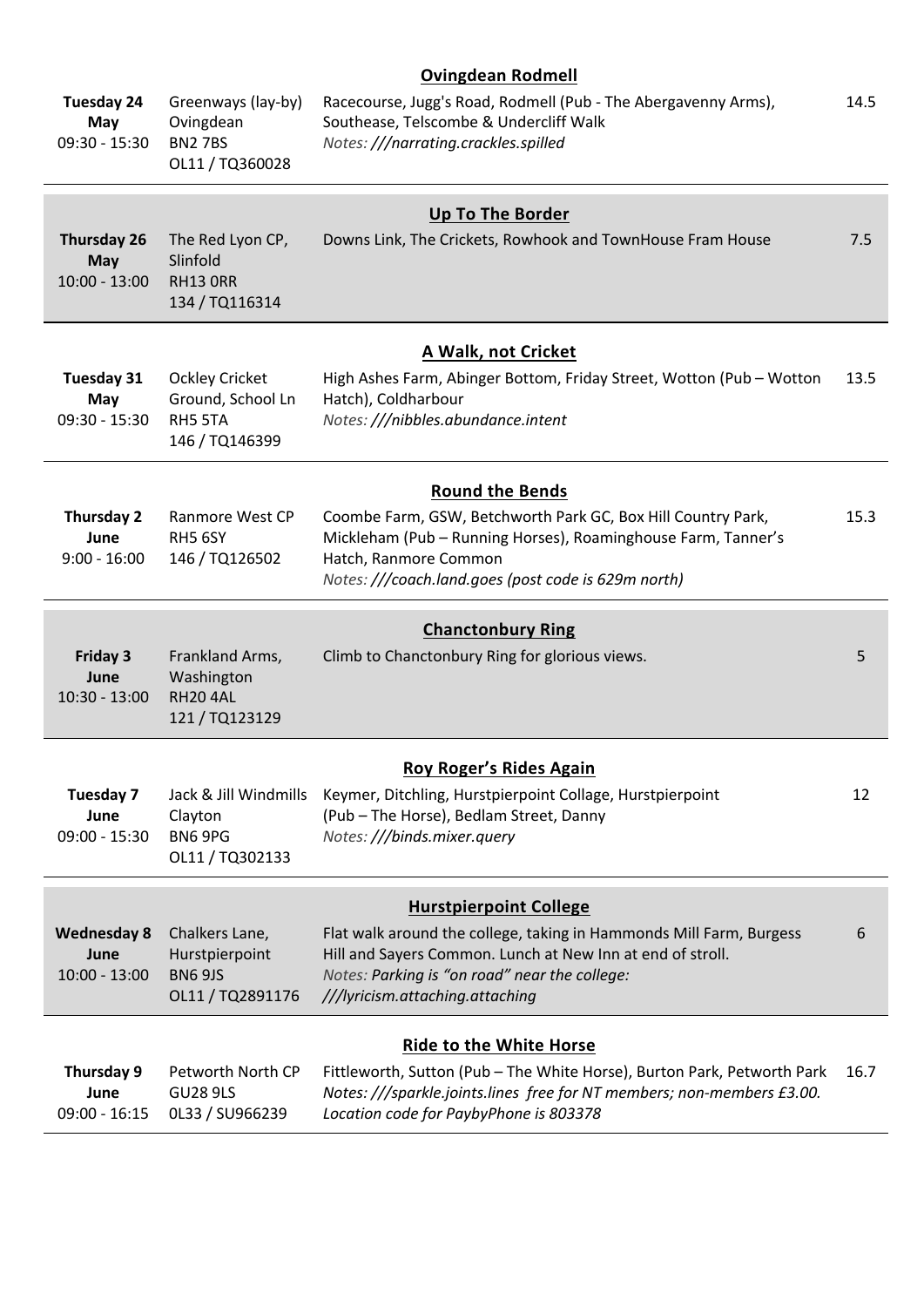# **Ovingdean Rodmell**

| <b>Tuesday 24</b><br>May<br>$09:30 - 15:30$         | Greenways (lay-by)<br>Ovingdean<br><b>BN27BS</b><br>OL11 / TQ360028     | Racecourse, Jugg's Road, Rodmell (Pub - The Abergavenny Arms),<br>Southease, Telscombe & Undercliff Walk<br>Notes: ///narrating.crackles.spilled                                                                                                       | 14.5 |
|-----------------------------------------------------|-------------------------------------------------------------------------|--------------------------------------------------------------------------------------------------------------------------------------------------------------------------------------------------------------------------------------------------------|------|
| <b>Thursday 26</b><br><b>May</b><br>$10:00 - 13:00$ | The Red Lyon CP,<br>Slinfold<br><b>RH13 ORR</b><br>134 / TQ116314       | <b>Up To The Border</b><br>Downs Link, The Crickets, Rowhook and TownHouse Fram House                                                                                                                                                                  | 7.5  |
| Tuesday 31<br>May<br>$09:30 - 15:30$                | <b>Ockley Cricket</b><br>Ground, School Ln<br>RH5 5TA<br>146 / TQ146399 | A Walk, not Cricket<br>High Ashes Farm, Abinger Bottom, Friday Street, Wotton (Pub - Wotton<br>Hatch), Coldharbour<br>Notes: ///nibbles.abundance.intent                                                                                               | 13.5 |
| <b>Thursday 2</b><br>June<br>$9:00 - 16:00$         | Ranmore West CP<br>RH5 6SY<br>146 / TQ126502                            | <b>Round the Bends</b><br>Coombe Farm, GSW, Betchworth Park GC, Box Hill Country Park,<br>Mickleham (Pub - Running Horses), Roaminghouse Farm, Tanner's<br>Hatch, Ranmore Common<br>Notes: ///coach.land.goes (post code is 629m north)                | 15.3 |
| <b>Friday 3</b><br>June<br>$10:30 - 13:00$          | Frankland Arms,<br>Washington<br><b>RH204AL</b><br>121 / TQ123129       | <b>Chanctonbury Ring</b><br>Climb to Chanctonbury Ring for glorious views.                                                                                                                                                                             | 5    |
| Tuesday 7<br>June<br>$09:00 - 15:30$                | Jack & Jill Windmills<br>Clayton<br>BN6 9PG<br>OL11 / TQ302133          | Roy Roger's Rides Again<br>Keymer, Ditchling, Hurstpierpoint Collage, Hurstpierpoint<br>(Pub - The Horse), Bedlam Street, Danny<br>Notes: ///binds.mixer.query                                                                                         | 12   |
| <b>Wednesday 8</b><br>June<br>$10:00 - 13:00$       | Chalkers Lane,<br>Hurstpierpoint<br><b>BN6 9JS</b><br>OL11 / TQ2891176  | <b>Hurstpierpoint College</b><br>Flat walk around the college, taking in Hammonds Mill Farm, Burgess<br>Hill and Sayers Common. Lunch at New Inn at end of stroll.<br>Notes: Parking is "on road" near the college:<br>///lyricism.attaching.attaching | 6    |
| Thursday 9<br>June<br>$09:00 - 16:15$               | Petworth North CP<br><b>GU28 9LS</b><br>OL33 / SU966239                 | <b>Ride to the White Horse</b><br>Fittleworth, Sutton (Pub - The White Horse), Burton Park, Petworth Park<br>Notes: ///sparkle.joints.lines free for NT members; non-members £3.00.<br>Location code for PaybyPhone is 803378                          | 16.7 |
|                                                     |                                                                         |                                                                                                                                                                                                                                                        |      |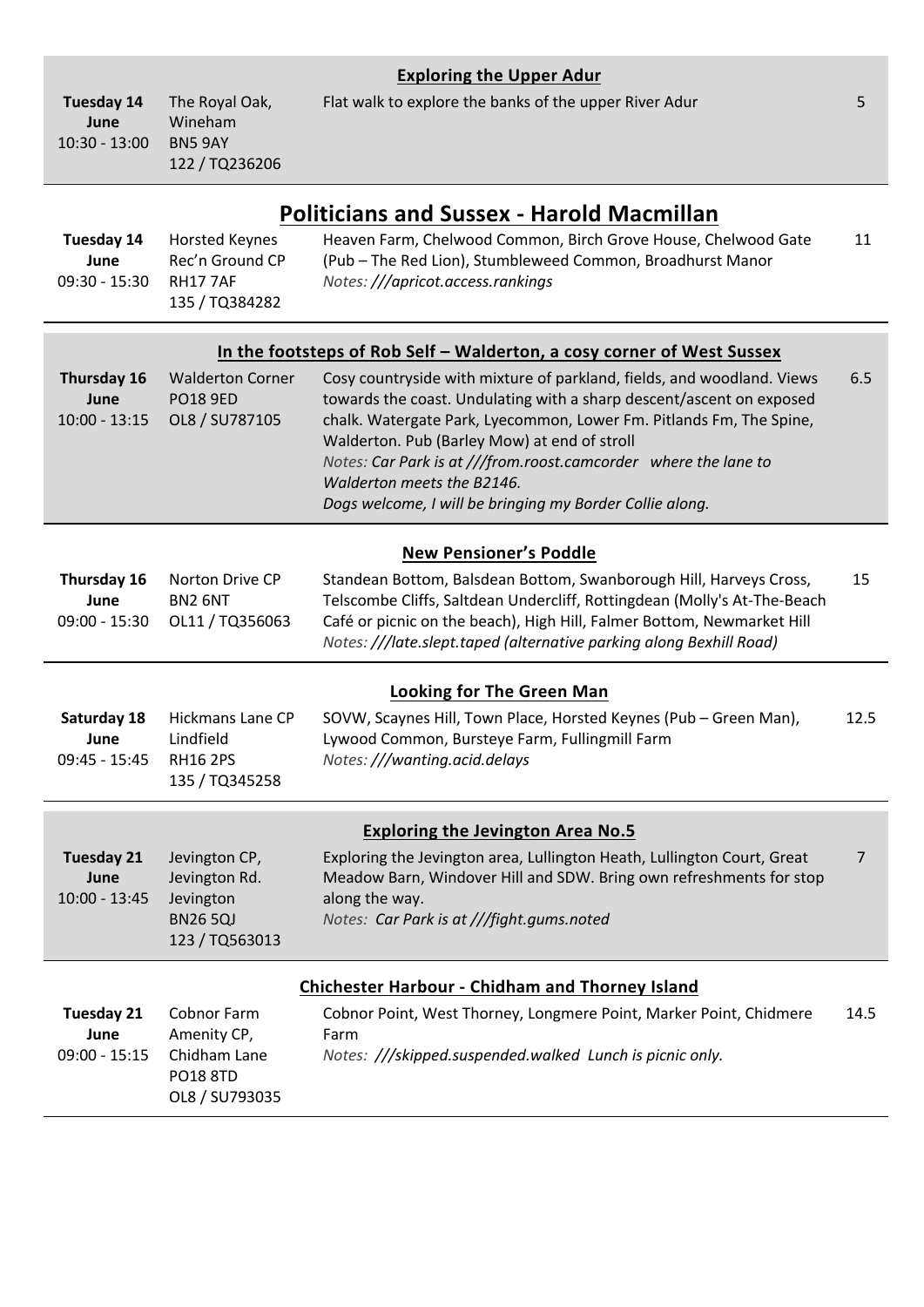|                                              |                                                                                 | <b>Exploring the Upper Adur</b>                                                                                                                                                                                                                                                                                                                                                                                                    |                |
|----------------------------------------------|---------------------------------------------------------------------------------|------------------------------------------------------------------------------------------------------------------------------------------------------------------------------------------------------------------------------------------------------------------------------------------------------------------------------------------------------------------------------------------------------------------------------------|----------------|
| <b>Tuesday 14</b><br>June<br>$10:30 - 13:00$ | The Royal Oak,<br>Wineham<br>BN5 9AY<br>122 / TQ236206                          | Flat walk to explore the banks of the upper River Adur                                                                                                                                                                                                                                                                                                                                                                             | 5              |
|                                              |                                                                                 | <b>Politicians and Sussex - Harold Macmillan</b>                                                                                                                                                                                                                                                                                                                                                                                   |                |
| Tuesday 14<br>June<br>$09:30 - 15:30$        | <b>Horsted Keynes</b><br>Rec'n Ground CP<br><b>RH177AF</b><br>135 / TQ384282    | Heaven Farm, Chelwood Common, Birch Grove House, Chelwood Gate<br>(Pub - The Red Lion), Stumbleweed Common, Broadhurst Manor<br>Notes: ///apricot.access.rankings                                                                                                                                                                                                                                                                  | 11             |
|                                              |                                                                                 | In the footsteps of Rob Self - Walderton, a cosy corner of West Sussex                                                                                                                                                                                                                                                                                                                                                             |                |
| Thursday 16<br>June<br>$10:00 - 13:15$       | <b>Walderton Corner</b><br><b>PO18 9ED</b><br>OL8 / SU787105                    | Cosy countryside with mixture of parkland, fields, and woodland. Views<br>towards the coast. Undulating with a sharp descent/ascent on exposed<br>chalk. Watergate Park, Lyecommon, Lower Fm. Pitlands Fm, The Spine,<br>Walderton. Pub (Barley Mow) at end of stroll<br>Notes: Car Park is at ///from.roost.camcorder where the lane to<br>Walderton meets the B2146.<br>Dogs welcome, I will be bringing my Border Collie along. | 6.5            |
|                                              |                                                                                 | <b>New Pensioner's Poddle</b>                                                                                                                                                                                                                                                                                                                                                                                                      |                |
| Thursday 16<br>June<br>$09:00 - 15:30$       | Norton Drive CP<br>BN2 6NT<br>OL11 / TQ356063                                   | Standean Bottom, Balsdean Bottom, Swanborough Hill, Harveys Cross,<br>Telscombe Cliffs, Saltdean Undercliff, Rottingdean (Molly's At-The-Beach<br>Café or picnic on the beach), High Hill, Falmer Bottom, Newmarket Hill<br>Notes: ///late.slept.taped (alternative parking along Bexhill Road)                                                                                                                                    | 15             |
|                                              |                                                                                 | <b>Looking for The Green Man</b>                                                                                                                                                                                                                                                                                                                                                                                                   |                |
| Saturday 18<br>June<br>$09:45 - 15:45$       | Hickmans Lane CP<br>Lindfield<br><b>RH16 2PS</b><br>135 / TQ345258              | SOVW, Scaynes Hill, Town Place, Horsted Keynes (Pub - Green Man),<br>Lywood Common, Bursteye Farm, Fullingmill Farm<br>Notes: ///wanting.acid.delays                                                                                                                                                                                                                                                                               | 12.5           |
|                                              |                                                                                 | <b>Exploring the Jevington Area No.5</b>                                                                                                                                                                                                                                                                                                                                                                                           |                |
| <b>Tuesday 21</b><br>June<br>$10:00 - 13:45$ | Jevington CP,<br>Jevington Rd.<br>Jevington<br><b>BN265QJ</b><br>123 / TQ563013 | Exploring the Jevington area, Lullington Heath, Lullington Court, Great<br>Meadow Barn, Windover Hill and SDW. Bring own refreshments for stop<br>along the way.<br>Notes: Car Park is at ///fight.gums.noted                                                                                                                                                                                                                      | $\overline{7}$ |
|                                              |                                                                                 | <b>Chichester Harbour - Chidham and Thorney Island</b>                                                                                                                                                                                                                                                                                                                                                                             |                |
| <b>Tuesday 21</b><br>June<br>$09:00 - 15:15$ | Cobnor Farm<br>Amenity CP,<br>Chidham Lane<br><b>PO18 8TD</b><br>OL8 / SU793035 | Cobnor Point, West Thorney, Longmere Point, Marker Point, Chidmere<br>Farm<br>Notes: ///skipped.suspended.walked Lunch is picnic only.                                                                                                                                                                                                                                                                                             | 14.5           |